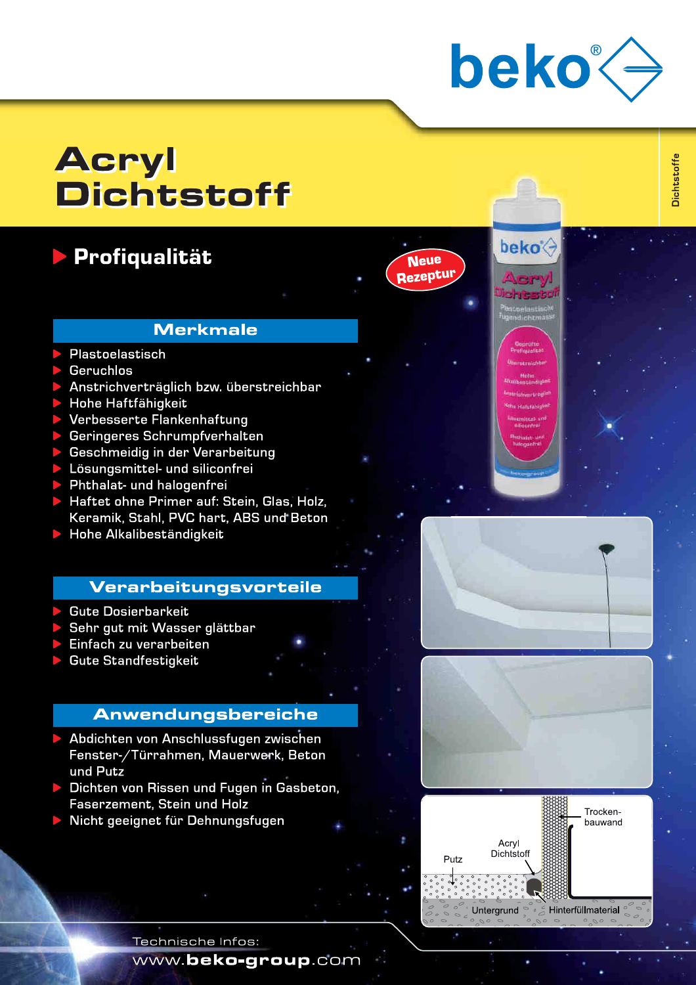

**beko** 

**Neue** Rezeptur **Dichtstoffe** 

# **Acryl Dichtstoff**

## **Profiqualität**

### **Merkmale**

- Plastoelastisch
- **Geruchlos**
- Anstrichverträglich bzw. überstreichbar
- Hohe Haftfähigkeit
- Verbesserte Flankenhaftung
- Geringeres Schrumpfverhalten
- Geschmeidig in der Verarbeitung
- Lösungsmittel- und siliconfrei
- Phthalat- und halogenfrei
- Haftet ohne Primer auf: Stein, Glas, Holz, Keramik, Stahl, PVC hart, ABS und Beton
- Hohe Alkalibeständigkeit

#### **Verarbeitungsvorteile**

- **Gute Dosierbarkeit**
- Sehr gut mit Wasser glättbar
- Einfach zu verarbeiten
- **Gute Standfestigkeit**

### **Anwendungsbereiche**

- Abdichten von Anschlussfugen zwischen Fenster-/Türrahmen, Mauerwerk, Beton und Putz
- Dichten von Rissen und Fugen in Gasbeton. **Faserzement, Stein und Holz**
- Nicht geeignet für Dehnungsfugen







Technische Infos:

www.beko-group.com